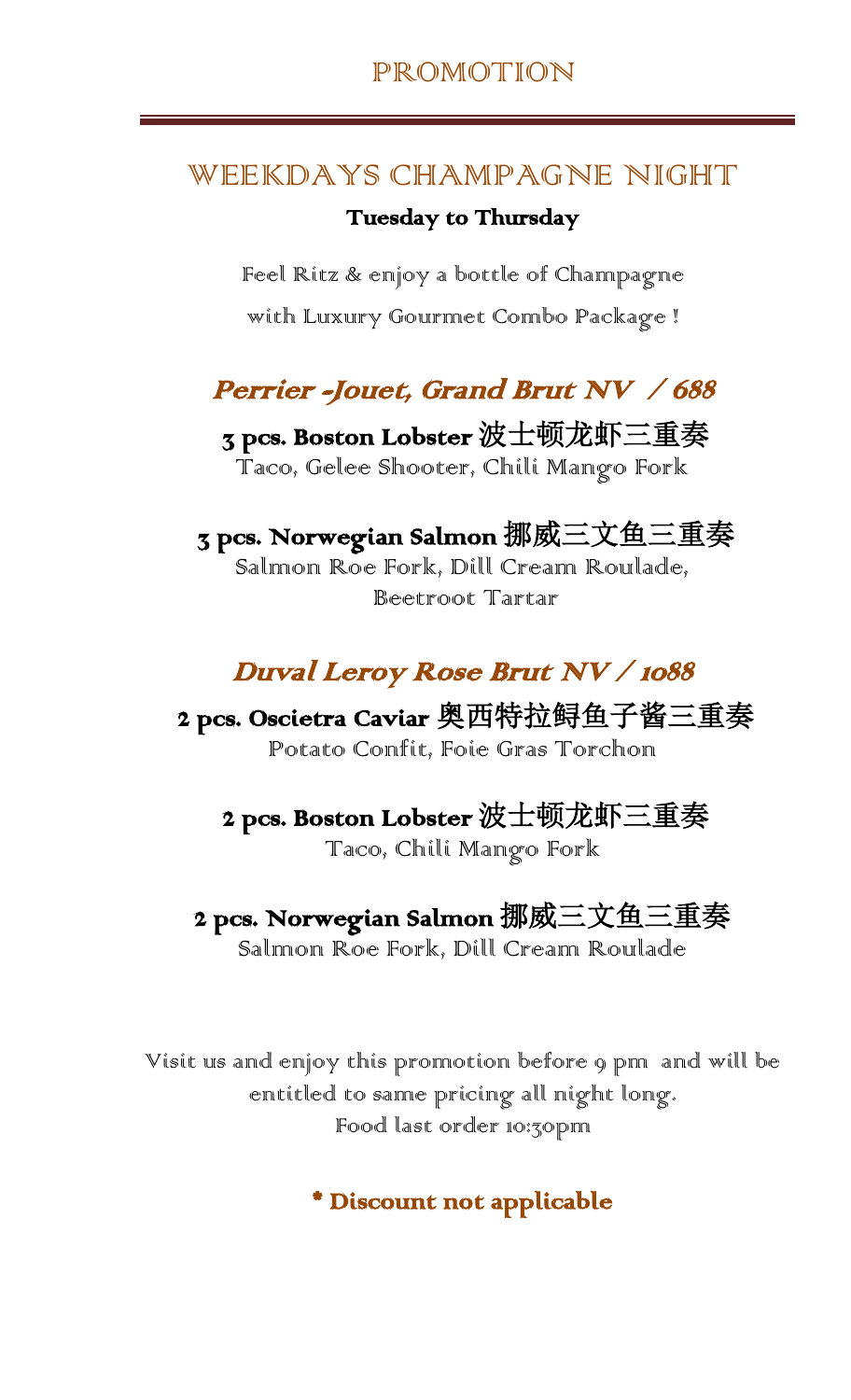#### WEEKDAYS CHAMPAGNE NIGHT

#### Tuesday to Thursday

Feel Ritz & enjoy a bottle of Champagne

with Luxury Gourmet Combo Package !

## Perrier -Jouet, Grand Brut NV / 688

 3 pcs. Boston Lobster 波士顿龙虾三重奏 Taco, Gelee Shooter, Chili Mango Fork

# 3 pcs. Norwegian Salmon 挪威三文鱼三重奏

Salmon Roe Fork, Dill Cream Roulade, Beetroot Tartar

### Duval Leroy Rose Brut NV / 1088

 2 pcs. Oscietra Caviar 奥西特拉鲟鱼子酱三重奏 Potato Confit, Foie Gras Torchon

# 2 pcs. Boston Lobster 波士顿龙虾三重奏

Taco, Chili Mango Fork

### 2 pcs. Norwegian Salmon 挪威三文鱼三重奏

Salmon Roe Fork, Dill Cream Roulade

Visit us and enjoy this promotion before 9 pm and will be entitled to same pricing all night long. Food last order 10:30pm

Discount not applicable